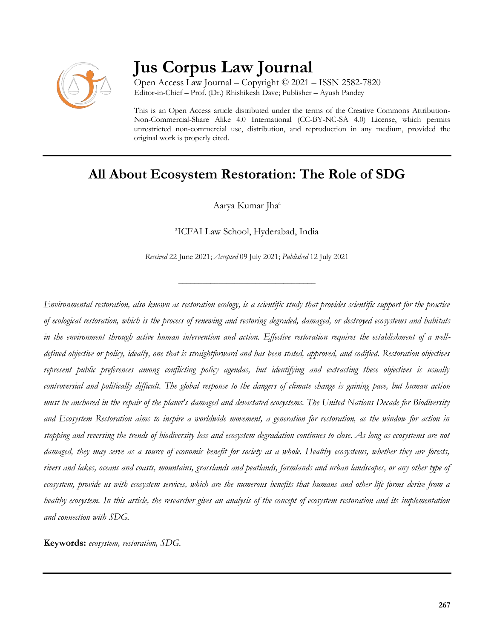

# **Jus Corpus Law Journal**

Open Access Law Journal – Copyright © 2021 – ISSN 2582-7820 Editor-in-Chief – Prof. (Dr.) Rhishikesh Dave; Publisher – Ayush Pandey

This is an Open Access article distributed under the terms of the Creative Commons Attribution-Non-Commercial-Share Alike 4.0 International (CC-BY-NC-SA 4.0) License, which permits unrestricted non-commercial use, distribution, and reproduction in any medium, provided the original work is properly cited.

# **All About Ecosystem Restoration: The Role of SDG**

Aarya Kumar Jha a

a ICFAI Law School, Hyderabad, India

*Received* 22 June 2021; *Accepted* 09 July 2021; *Published* 12 July 2021

\_\_\_\_\_\_\_\_\_\_\_\_\_\_\_\_\_\_\_\_\_\_\_\_\_\_\_\_\_\_\_\_\_\_

*Environmental restoration, also known as restoration ecology, is a scientific study that provides scientific support for the practice of ecological restoration, which is the process of renewing and restoring degraded, damaged, or destroyed ecosystems and habitats in the environment through active human intervention and action. Effective restoration requires the establishment of a welldefined objective or policy, ideally, one that is straightforward and has been stated, approved, and codified. Restoration objectives represent public preferences among conflicting policy agendas, but identifying and extracting these objectives is usually controversial and politically difficult. The global response to the dangers of climate change is gaining pace, but human action must be anchored in the repair of the planet's damaged and devastated ecosystems. The United Nations Decade for Biodiversity and Ecosystem Restoration aims to inspire a worldwide movement, a generation for restoration, as the window for action in stopping and reversing the trends of biodiversity loss and ecosystem degradation continues to close. As long as ecosystems are not damaged, they may serve as a source of economic benefit for society as a whole. Healthy ecosystems, whether they are forests, rivers and lakes, oceans and coasts, mountains, grasslands and peatlands, farmlands and urban landscapes, or any other type of ecosystem, provide us with ecosystem services, which are the numerous benefits that humans and other life forms derive from a healthy ecosystem. In this article, the researcher gives an analysis of the concept of ecosystem restoration and its implementation and connection with SDG.*

**Keywords:** *ecosystem, restoration, SDG.*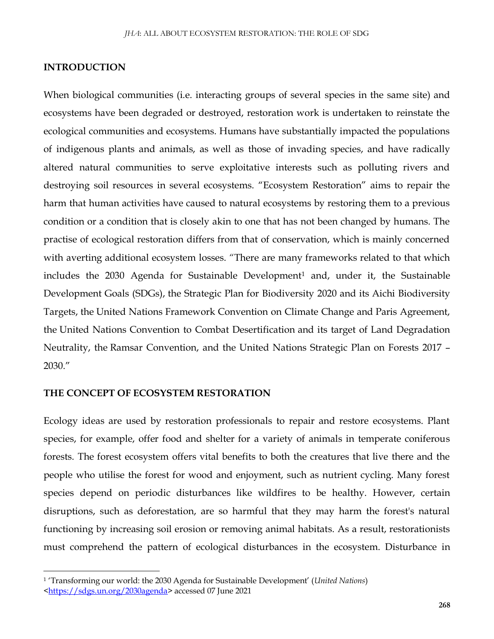#### **INTRODUCTION**

When biological communities (i.e. interacting groups of several species in the same site) and ecosystems have been degraded or destroyed, restoration work is undertaken to reinstate the ecological communities and ecosystems. Humans have substantially impacted the populations of indigenous plants and animals, as well as those of invading species, and have radically altered natural communities to serve exploitative interests such as polluting rivers and destroying soil resources in several ecosystems. "Ecosystem Restoration" aims to repair the harm that human activities have caused to natural ecosystems by restoring them to a previous condition or a condition that is closely akin to one that has not been changed by humans. The practise of ecological restoration differs from that of conservation, which is mainly concerned with averting additional ecosystem losses. "There are many frameworks related to that which  $includes$  the  $2030$  Agenda for Sustainable Development<sup>1</sup> and, under it, the Sustainable Development Goals (SDGs), the Strategic Plan for Biodiversity 2020 and its Aichi Biodiversity Targets, the United Nations Framework Convention on Climate Change and Paris Agreement, the United Nations Convention to Combat Desertification and its target of Land Degradation Neutrality, the Ramsar Convention, and the United Nations Strategic Plan on Forests 2017 – 2030."

#### **THE CONCEPT OF ECOSYSTEM RESTORATION**

Ecology ideas are used by restoration professionals to repair and restore ecosystems. Plant species, for example, offer food and shelter for a variety of animals in temperate coniferous forests. The forest ecosystem offers vital benefits to both the creatures that live there and the people who utilise the forest for wood and enjoyment, such as nutrient cycling. Many forest species depend on periodic disturbances like wildfires to be healthy. However, certain disruptions, such as deforestation, are so harmful that they may harm the forest's natural functioning by increasing soil erosion or removing animal habitats. As a result, restorationists must comprehend the pattern of ecological disturbances in the ecosystem. Disturbance in

 $\overline{\phantom{a}}$ 

<sup>1</sup> 'Transforming our world: the 2030 Agenda for Sustainable Development' (*United Nations*)

[<sup>&</sup>lt;https://sdgs.un.org/2030agenda>](https://sdgs.un.org/2030agenda) accessed 07 June 2021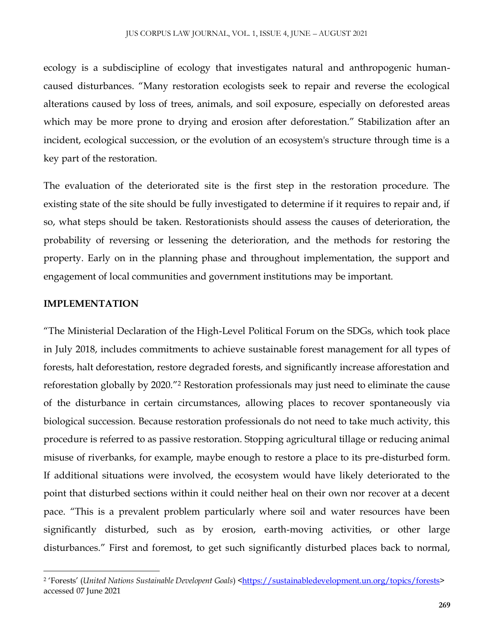ecology is a subdiscipline of ecology that investigates natural and anthropogenic humancaused disturbances. "Many restoration ecologists seek to repair and reverse the ecological alterations caused by loss of trees, animals, and soil exposure, especially on deforested areas which may be more prone to drying and erosion after deforestation." Stabilization after an incident, ecological succession, or the evolution of an ecosystem's structure through time is a key part of the restoration.

The evaluation of the deteriorated site is the first step in the restoration procedure. The existing state of the site should be fully investigated to determine if it requires to repair and, if so, what steps should be taken. Restorationists should assess the causes of deterioration, the probability of reversing or lessening the deterioration, and the methods for restoring the property. Early on in the planning phase and throughout implementation, the support and engagement of local communities and government institutions may be important.

## **IMPLEMENTATION**

 $\overline{\phantom{a}}$ 

"The Ministerial Declaration of the High-Level Political Forum on the SDGs, which took place in July 2018, includes commitments to achieve sustainable forest management for all types of forests, halt deforestation, restore degraded forests, and significantly increase afforestation and reforestation globally by 2020."<sup>2</sup> Restoration professionals may just need to eliminate the cause of the disturbance in certain circumstances, allowing places to recover spontaneously via biological succession. Because restoration professionals do not need to take much activity, this procedure is referred to as passive restoration. Stopping agricultural tillage or reducing animal misuse of riverbanks, for example, maybe enough to restore a place to its pre-disturbed form. If additional situations were involved, the ecosystem would have likely deteriorated to the point that disturbed sections within it could neither heal on their own nor recover at a decent pace. "This is a prevalent problem particularly where soil and water resources have been significantly disturbed, such as by erosion, earth-moving activities, or other large disturbances." First and foremost, to get such significantly disturbed places back to normal,

<sup>&</sup>lt;sup>2</sup> 'Forests' (*United Nations Sustainable Developent Goals*) [<https://sustainabledevelopment.un.org/topics/forests>](https://sustainabledevelopment.un.org/topics/forests) accessed 07 June 2021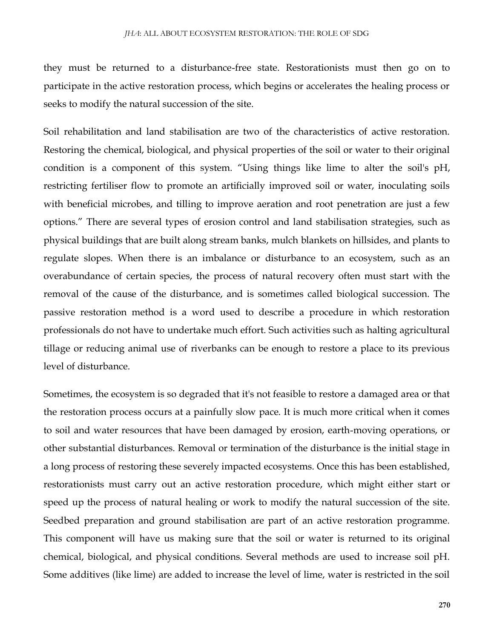they must be returned to a disturbance-free state. Restorationists must then go on to participate in the active restoration process, which begins or accelerates the healing process or seeks to modify the natural succession of the site.

Soil rehabilitation and land stabilisation are two of the characteristics of active restoration. Restoring the chemical, biological, and physical properties of the soil or water to their original condition is a component of this system. "Using things like lime to alter the soil's pH, restricting fertiliser flow to promote an artificially improved soil or water, inoculating soils with beneficial microbes, and tilling to improve aeration and root penetration are just a few options." There are several types of erosion control and land stabilisation strategies, such as physical buildings that are built along stream banks, mulch blankets on hillsides, and plants to regulate slopes. When there is an imbalance or disturbance to an ecosystem, such as an overabundance of certain species, the process of natural recovery often must start with the removal of the cause of the disturbance, and is sometimes called biological succession. The passive restoration method is a word used to describe a procedure in which restoration professionals do not have to undertake much effort. Such activities such as halting agricultural tillage or reducing animal use of riverbanks can be enough to restore a place to its previous level of disturbance.

Sometimes, the ecosystem is so degraded that it's not feasible to restore a damaged area or that the restoration process occurs at a painfully slow pace. It is much more critical when it comes to soil and water resources that have been damaged by erosion, earth-moving operations, or other substantial disturbances. Removal or termination of the disturbance is the initial stage in a long process of restoring these severely impacted ecosystems. Once this has been established, restorationists must carry out an active restoration procedure, which might either start or speed up the process of natural healing or work to modify the natural succession of the site. Seedbed preparation and ground stabilisation are part of an active restoration programme. This component will have us making sure that the soil or water is returned to its original chemical, biological, and physical conditions. Several methods are used to increase soil pH. Some additives (like lime) are added to increase the level of lime, water is restricted in the soil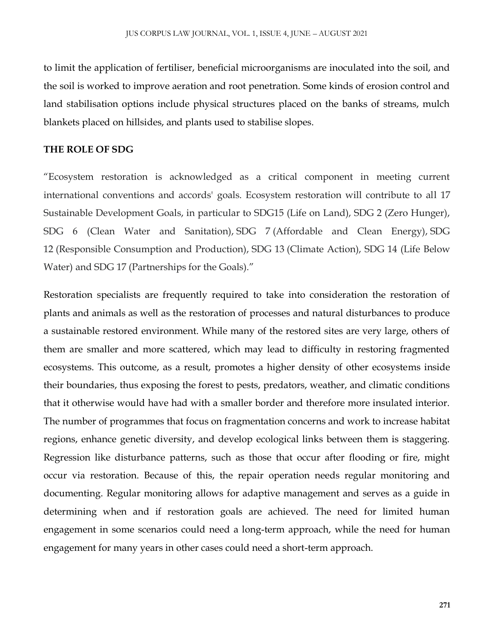to limit the application of fertiliser, beneficial microorganisms are inoculated into the soil, and the soil is worked to improve aeration and root penetration. Some kinds of erosion control and land stabilisation options include physical structures placed on the banks of streams, mulch blankets placed on hillsides, and plants used to stabilise slopes.

#### **THE ROLE OF SDG**

"Ecosystem restoration is acknowledged as a critical component in meeting current international conventions and accords' goals. Ecosystem restoration will contribute to all 17 Sustainable Development Goals, in particular to SDG15 (Life on Land), SDG 2 (Zero Hunger), SDG 6 (Clean Water and Sanitation), SDG 7 (Affordable and Clean Energy), SDG 12 (Responsible Consumption and Production), SDG 13 (Climate Action), SDG 14 (Life Below Water) and SDG 17 (Partnerships for the Goals)."

Restoration specialists are frequently required to take into consideration the restoration of plants and animals as well as the restoration of processes and natural disturbances to produce a sustainable restored environment. While many of the restored sites are very large, others of them are smaller and more scattered, which may lead to difficulty in restoring fragmented ecosystems. This outcome, as a result, promotes a higher density of other ecosystems inside their boundaries, thus exposing the forest to pests, predators, weather, and climatic conditions that it otherwise would have had with a smaller border and therefore more insulated interior. The number of programmes that focus on fragmentation concerns and work to increase habitat regions, enhance genetic diversity, and develop ecological links between them is staggering. Regression like disturbance patterns, such as those that occur after flooding or fire, might occur via restoration. Because of this, the repair operation needs regular monitoring and documenting. Regular monitoring allows for adaptive management and serves as a guide in determining when and if restoration goals are achieved. The need for limited human engagement in some scenarios could need a long-term approach, while the need for human engagement for many years in other cases could need a short-term approach.